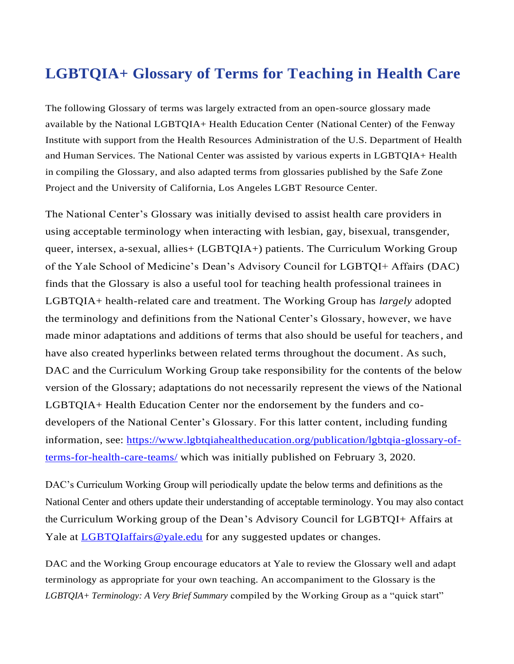## **LGBTQIA+ Glossary of Terms for Teaching in Health Care**

The following Glossary of terms was largely extracted from an open-source glossary made available by the National LGBTQIA+ Health Education Center (National Center) of the Fenway Institute with support from the Health Resources Administration of the U.S. Department of Health and Human Services. The National Center was assisted by various experts in LGBTQIA+ Health in compiling the Glossary, and also adapted terms from glossaries published by the Safe Zone Project and the University of California, Los Angeles LGBT Resource Center.

The National Center's Glossary was initially devised to assist health care providers in using acceptable terminology when interacting with lesbian, gay, bisexual, transgender, queer, intersex, a-sexual, allies+ (LGBTQIA+) patients. The Curriculum Working Group of the Yale School of Medicine's Dean's Advisory Council for LGBTQI+ Affairs (DAC) finds that the Glossary is also a useful tool for teaching health professional trainees in LGBTQIA+ health-related care and treatment. The Working Group has *largely* adopted the terminology and definitions from the National Center's Glossary, however, we have made minor adaptations and additions of terms that also should be useful for teachers, and have also created hyperlinks between related terms throughout the document. As such, DAC and the Curriculum Working Group take responsibility for the contents of the below version of the Glossary; adaptations do not necessarily represent the views of the National LGBTQIA+ Health Education Center nor the endorsement by the funders and codevelopers of the National Center's Glossary. For this latter content, including funding information, see: [https://www.lgbtqiahealtheducation.org/publication/lgbtqia-glossary-of](https://www.lgbtqiahealtheducation.org/publication/lgbtqia-glossary-of-terms-for-health-care-teams/)[terms-for-health-care-teams/](https://www.lgbtqiahealtheducation.org/publication/lgbtqia-glossary-of-terms-for-health-care-teams/) which was initially published on February 3, 2020.

DAC's Curriculum Working Group will periodically update the below terms and definitions as the National Center and others update their understanding of acceptable terminology. You may also contact the Curriculum Working group of the Dean's Advisory Council for LGBTQI+ Affairs at Yale at [LGBTQIaffairs@yale.edu](mailto:LGBTQIaffairs@yale.edu) for any suggested updates or changes.

DAC and the Working Group encourage educators at Yale to review the Glossary well and adapt terminology as appropriate for your own teaching. An accompaniment to the Glossary is the *LGBTQIA+ Terminology: A Very Brief Summary* compiled by the Working Group as a "quick start"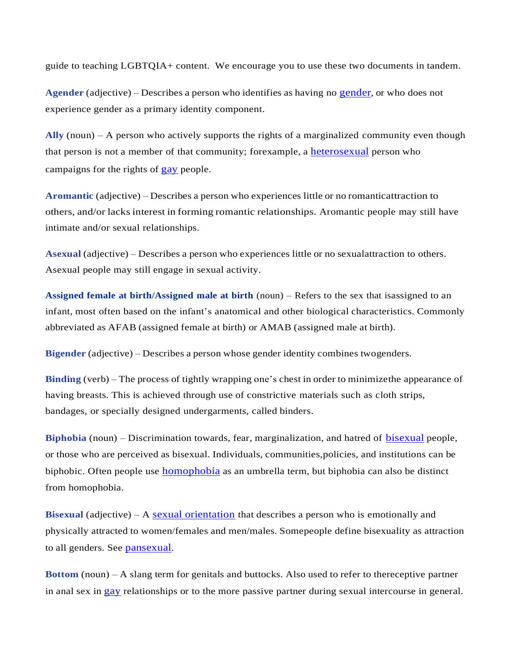guide to teaching LGBTQIA+ content. We encourage you to use these two documents in tandem.

**Agender** (adjective) – Describes a person who identifies as having no [gender](#page-2-0), or who does not experience gender as a primary identity component.

**Ally** (noun) – A person who actively supports the rights of a marginalized community even though that person is not a member of that community; forexample, a [heterosexual](#page-5-0) person who campaigns for the rights of **[gay](#page-2-1)** people.

**Aromantic** (adjective) – Describes a person who experiences little or no romanticattraction to others, and/or lacks interest in forming romantic relationships. Aromantic people may still have intimate and/or sexual relationships.

**Asexual** (adjective) – Describes a person who experiences little or no sexualattraction to others. Asexual people may still engage in sexual activity.

<span id="page-1-1"></span>**Assigned female at birth/Assigned male at birth** (noun) – Refers to the sex that isassigned to an infant, most often based on the infant's anatomical and other biological characteristics. Commonly abbreviated as AFAB (assigned female at birth) or AMAB (assigned male at birth).

**Bigender** (adjective) – Describes a person whose gender identity combines twogenders.

**Binding** (verb) – The process of tightly wrapping one's chest in order to minimizethe appearance of having breasts. This is achieved through use of constrictive materials such as cloth strips, bandages, or specially designed undergarments, called binders.

**Biphobia** (noun) – Discrimination towards, fear, marginalization, and hatred of **[bisexual](#page-1-0)** people, or those who are perceived as bisexual. Individuals, communities,policies, and institutions can be biphobic. Often people use [homophobia](#page-5-1) as an umbrella term, but biphobia can also be distinct from homophobia.

<span id="page-1-0"></span>**Bisexual** (adjective) – A [sexual orientation](#page-8-0) that describes a person who is emotionally and physically attracted to women/females and men/males. Somepeople define bisexuality as attraction to all genders. See [pansexual](#page-7-0).

**Bottom** (noun) – A slang term for genitals and buttocks. Also used to refer to thereceptive partner in anal sex in [gay](#page-2-1) relationships or to the more passive partner during sexual intercourse in general.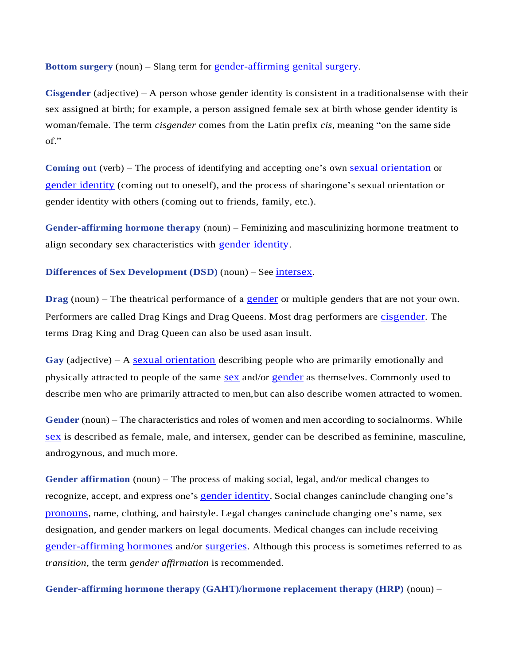**Bottom surgery** (noun) – Slang term for [gender-affirming](#page-3-0) genital surgery.

<span id="page-2-2"></span>**Cisgender** (adjective) – A person whose gender identity is consistent in a traditionalsense with their sex assigned at birth; for example, a person assigned female sex at birth whose gender identity is woman/female. The term *cisgender* comes from the Latin prefix *cis*, meaning "on the same side of."

**Coming out** (verb) – The process of identifying and accepting one's own sexual [orientation](#page-8-0) or gender [identity](#page-5-2) (coming out to oneself), and the process of sharingone's sexual orientation or gender identity with others (coming out to friends, family, etc.).

<span id="page-2-3"></span>**Gender-affirming hormone therapy** (noun) – Feminizing and masculinizing hormone treatment to align secondary sex characteristics with gender [identity](#page-5-2).

**Differences of Sex Development (DSD)** (noun) – See [intersex](#page-5-3).

**Drag** (noun) – The theatrical performance of a **[gender](#page-2-0)** or multiple genders that are not your own. Performers are called Drag Kings and Drag Queens. Most drag performers are [cisgender](#page-2-2). The terms Drag King and Drag Queen can also be used asan insult.

<span id="page-2-1"></span>**Gay** (adjective) – A [sexual orientation](#page-8-0) describing people who are primarily emotionally and physically attracted to people of the same [sex](#page-8-1) and/or [gender](#page-2-0) as themselves. Commonly used to describe men who are primarily attracted to men,but can also describe women attracted to women.

<span id="page-2-0"></span>**Gender** (noun) – The characteristics and roles of women and men according to socialnorms. While [sex](#page-8-1) is described as female, male, and intersex, gender can be described as feminine, masculine, androgynous, and much more.

**Gender affirmation** (noun) – The process of making social, legal, and/or medical changes to recognize, accept, and express one's gender [identity](#page-5-2). Social changes caninclude changing one's [pronouns](#page-7-1), name, clothing, and hairstyle. Legal changes caninclude changing one's name, sex designation, and gender markers on legal documents. Medical changes can include receiving [gender-affirming hormones](#page-2-3) and/or [surgeries](#page-2-4). Although this process is sometimes referred to as *transition*, the term *gender affirmation* is recommended.

<span id="page-2-4"></span>**Gender-affirming hormone therapy (GAHT)/hormone replacement therapy (HRP)** (noun) –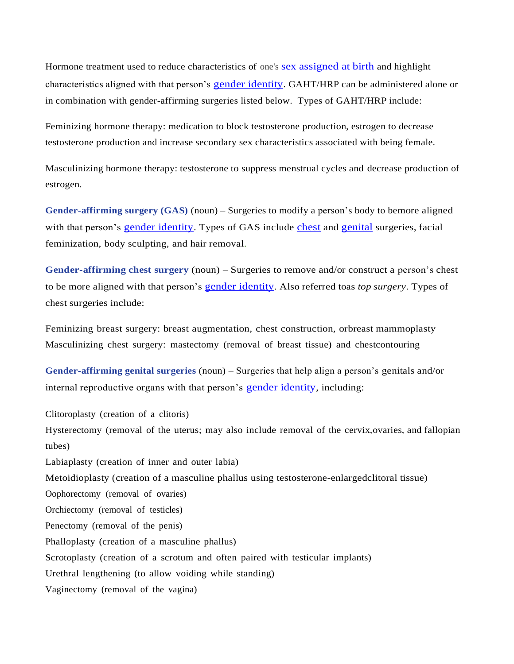Hormone treatment used to reduce characteristics of one's sex [assigned](#page-8-2) at birth and highlight characteristics aligned with that person's [gender identity](#page-5-2). GAHT/HRP can be administered alone or in combination with gender-affirming surgeries listed below. Types of GAHT/HRP include:

Feminizing hormone therapy: medication to block testosterone production, estrogen to decrease testosterone production and increase secondary sex characteristics associated with being female.

Masculinizing hormone therapy: testosterone to suppress menstrual cycles and decrease production of estrogen.

**Gender-affirming surgery (GAS)** (noun) – Surgeries to modify a person's body to bemore aligned with that person's [gender identity](#page-5-2). Types of GAS include [chest](#page-3-1) and [genital](#page-3-0) surgeries, facial feminization, body sculpting, and hair removal.

<span id="page-3-1"></span>**Gender-affirming chest surgery** (noun) – Surgeries to remove and/or construct a person's chest to be more aligned with that person's gender [identity](#page-5-2). Also referred toas *top surgery*. Types of chest surgeries include:

Feminizing breast surgery: breast augmentation, chest construction, orbreast mammoplasty Masculinizing chest surgery: mastectomy (removal of breast tissue) and chestcontouring

<span id="page-3-0"></span>**Gender-affirming genital surgeries** (noun) – Surgeries that help align a person's genitals and/or internal reproductive organs with that person's [gender identity](#page-5-2), including:

Clitoroplasty (creation of a clitoris) Hysterectomy (removal of the uterus; may also include removal of the cervix,ovaries, and fallopian tubes) Labiaplasty (creation of inner and outer labia) Metoidioplasty (creation of a masculine phallus using testosterone-enlargedclitoral tissue) Oophorectomy (removal of ovaries) Orchiectomy (removal of testicles) Penectomy (removal of the penis) Phalloplasty (creation of a masculine phallus) Scrotoplasty (creation of a scrotum and often paired with testicular implants) Urethral lengthening (to allow voiding while standing) Vaginectomy (removal of the vagina)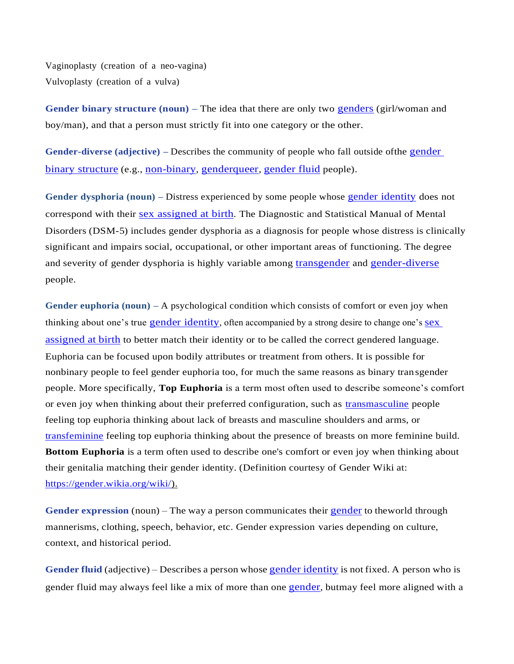<span id="page-4-0"></span>Vaginoplasty (creation of a neo-vagina) Vulvoplasty (creation of a vulva)

<span id="page-4-2"></span>**Gender binary structure (noun) –** The idea that there are only two [genders](#page-2-0) (girl/woman and boy/man), and that a person must strictly fit into one category or the other.

**Gender-diverse (adjective) –** Describes the community of people who fall outside ofthe [gender](#page-4-0)  binary [structure](#page-4-0) (e.g., [non-binary](#page-7-2), [genderqueer](#page-5-4), [gender](#page-4-1) fluid people).

**Gender dysphoria (noun) –** Distress experienced by some people whose gender [identity](#page-5-2) does not correspond with their sex [assigned](#page-8-2) at birth. The Diagnostic and Statistical Manual of Mental Disorders (DSM-5) includes gender dysphoria as a diagnosis for people whose distress is clinically significant and impairs social, occupational, or other important areas of functioning. The degree and severity of gender dysphoria is highly variable among [transgender](#page-8-3) and [gender-diverse](#page-4-2) people.

**Gender euphoria (noun) –** A psychological condition which consists of comfort or even joy when thinking about one's true gender [identity](#page-5-2), often accompanied by a strong desire to change one's [sex](#page-8-2) [assigned](#page-8-2) at birth to better match their identity or to be called the correct gendered language. Euphoria can be focused upon bodily attributes or treatment from others. It is possible for nonbinary people to feel gender euphoria too, for much the same reasons as binary transgender people. More specifically, **Top Euphoria** is a term most often used to describe someone's comfort or even joy when thinking about their preferred configuration, such as [transmasculine](https://gender.wikia.org/wiki/Transmasculine) people feeling top euphoria thinking about lack of breasts and masculine shoulders and arms, or [transfeminine](https://gender.wikia.org/wiki/Transfeminine) feeling top euphoria thinking about the presence of breasts on more feminine build. **Bottom Euphoria** is a term often used to describe one's comfort or even joy when thinking about their genitalia matching their gender identity. (Definition courtesy of Gender Wiki at: [https://gender.wikia.org/wiki/\)](https://gender.wikia.org/wiki/).

**Gender expression** (noun) – The way a person communicates their [gender](#page-2-0) to theworld through mannerisms, clothing, speech, behavior, etc. Gender expression varies depending on culture, context, and historical period.

<span id="page-4-1"></span>**Gender fluid** (adjective) – Describes a person whose gender [identity](#page-5-2) is not fixed. A person who is gender fluid may always feel like a mix of more than one [gender](#page-2-0), butmay feel more aligned with a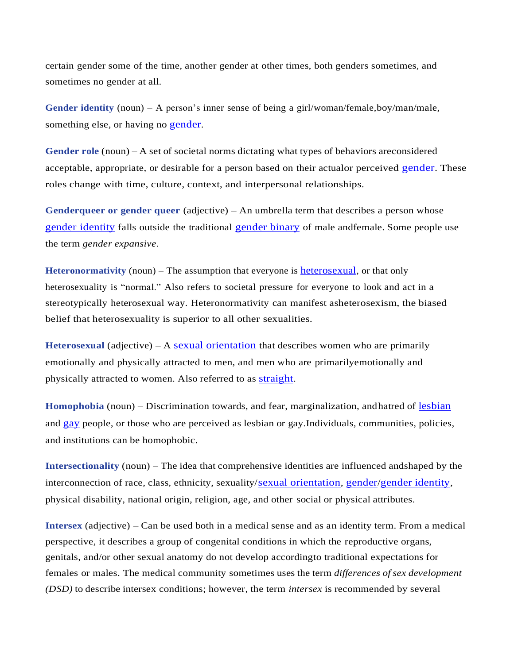<span id="page-5-2"></span>certain gender some of the time, another gender at other times, both genders sometimes, and sometimes no gender at all.

**Gender identity** (noun) – A person's inner sense of being a girl/woman/female,boy/man/male, something else, or having no [gender](#page-2-0).

**Gender role** (noun) – A set of societal norms dictating what types of behaviors areconsidered acceptable, appropriate, or desirable for a person based on their actualor perceived [gender](#page-2-0). These roles change with time, culture, context, and interpersonal relationships.

<span id="page-5-4"></span>**Genderqueer or gender queer** (adjective) – An umbrella term that describes a person whose gender [identity](#page-5-2) falls outside the traditional [gender](#page-4-0) binary of male andfemale. Some people use the term *gender expansive*.

**Heteronormativity** (noun) – The assumption that everyone is [heterosexual](#page-5-0), or that only heterosexuality is "normal." Also refers to societal pressure for everyone to look and act in a stereotypically heterosexual way. Heteronormativity can manifest asheterosexism, the biased belief that heterosexuality is superior to all other sexualities.

<span id="page-5-0"></span>**Heterosexual** (adjective) – A [sexual orientation](#page-8-0) that describes women who are primarily emotionally and physically attracted to men, and men who are primarilyemotionally and physically attracted to women. Also referred to as [straight](#page-8-4).

<span id="page-5-1"></span>**Homophobia** (noun) – Discrimination towards, and fear, marginalization, andhatred of [lesbian](#page-6-0) and [gay](#page-2-1) people, or those who are perceived as lesbian or gay.Individuals, communities, policies, and institutions can be homophobic.

**Intersectionality** (noun) – The idea that comprehensive identities are influenced andshaped by the interconnection of race, class, ethnicity, sexuality/[sexual orientation](#page-8-0), [gender](#page-2-0)/[gender identity](#page-5-2), physical disability, national origin, religion, age, and other social or physical attributes.

<span id="page-5-3"></span>**Intersex** (adjective) – Can be used both in a medical sense and as an identity term. From a medical perspective, it describes a group of congenital conditions in which the reproductive organs, genitals, and/or other sexual anatomy do not develop accordingto traditional expectations for females or males. The medical community sometimes uses the term *differences ofsex development (DSD)* to describe intersex conditions; however, the term *intersex* is recommended by several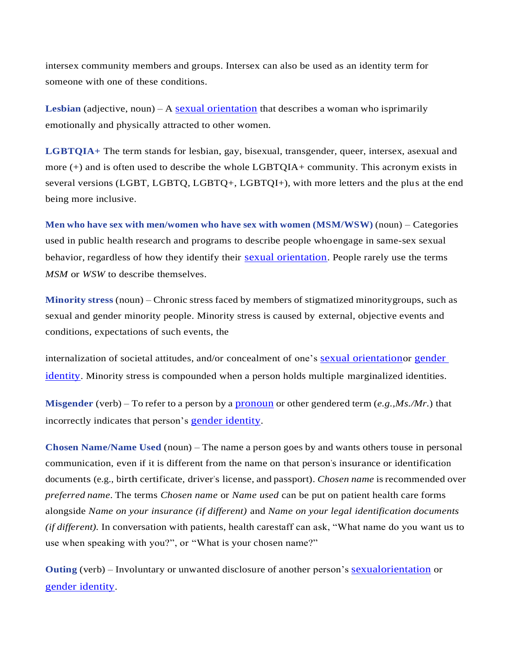intersex community members and groups. Intersex can also be used as an identity term for someone with one of these conditions.

<span id="page-6-0"></span>**Lesbian** (adjective, noun) – A sexual [orientation](#page-8-0) that describes a woman who isprimarily emotionally and physically attracted to other women.

**LGBTQIA+** The term stands for lesbian, gay, bisexual, transgender, queer, intersex, asexual and more  $(+)$  and is often used to describe the whole LGBTOIA+ community. This acronym exists in several versions (LGBT, LGBTQ, LGBTQ+, LGBTQI+), with more letters and the plus at the end being more inclusive.

**Men who have sex with men/women who have sex with women (MSM/WSW)** (noun) – Categories used in public health research and programs to describe people whoengage in same-sex sexual behavior, regardless of how they identify their sexual [orientation](#page-8-0). People rarely use the terms *MSM* or *WSW* to describe themselves.

**Minority stress** (noun) – Chronic stress faced by members of stigmatized minoritygroups, such as sexual and gender minority people. Minority stress is caused by external, objective events and conditions, expectations of such events, the

internalization of societal attitudes, and/or concealment of one's sexual [orientation](#page-8-0)or [gender](#page-5-2)  [identity](#page-5-2). Minority stress is compounded when a person holds multiple marginalized identities.

**Misgender** (verb) – To refer to a person by a [pronoun](#page-7-1) or other gendered term (*e.g.,Ms./Mr.*) that incorrectly indicates that person's gender [identity](#page-5-2).

<span id="page-6-1"></span>**Chosen Name/Name Used** (noun) – The name a person goes by and wants others touse in personal communication, even if it is different from the name on that person's insurance or identification documents (e.g., birth certificate, driver's license, and passport). *Chosen name* isrecommended over *preferred name*. The terms *Chosen name* or *Name used* can be put on patient health care forms alongside *Name on your insurance (if different)* and *Name on your legal identification documents (if different).* In conversation with patients, health carestaff can ask, "What name do you want us to use when speaking with you?", or "What is your chosen name?"

**Outing** (verb) – Involuntary or unwanted disclosure of another person's [sexualorientation](#page-8-0) or gender [identity](#page-5-2).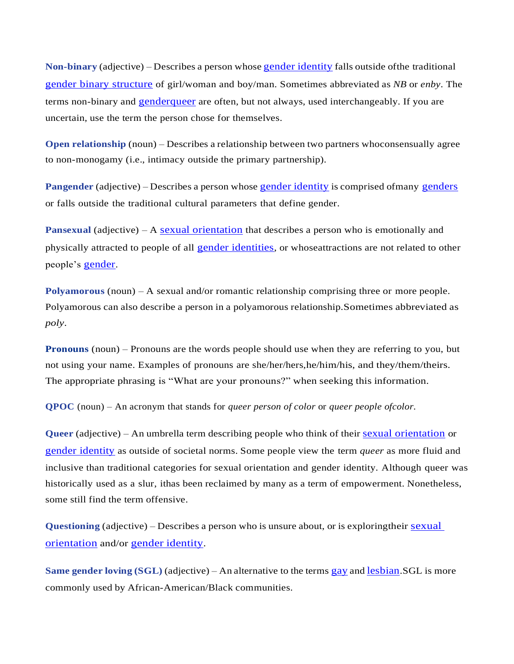<span id="page-7-2"></span>**Non-binary** (adjective) – Describes a person whose gender [identity](#page-5-2) falls outside ofthe traditional gender binary [structure](#page-4-0) of girl/woman and boy/man. Sometimes abbreviated as *NB* or *enby*. The terms non-binary and [genderqueer](#page-5-4) are often, but not always, used interchangeably. If you are uncertain, use the term the person chose for themselves.

**Open relationship** (noun) – Describes a relationship between two partners whoconsensually agree to non-monogamy (i.e., intimacy outside the primary partnership).

<span id="page-7-0"></span>**Pangender** (adjective) – Describes a person whose gender [identity](#page-5-2) is comprised ofmany [genders](#page-2-0) or falls outside the traditional cultural parameters that define gender.

**Pansexual** (adjective) – A [sexual orientation](#page-8-0) that describes a person who is emotionally and physically attracted to people of all [gender identities](#page-5-2), or whoseattractions are not related to other people's [gender](#page-2-0).

**Polyamorous** (noun) – A sexual and/or romantic relationship comprising three or more people. Polyamorous can also describe a person in a polyamorous relationship.Sometimes abbreviated as *poly*.

<span id="page-7-1"></span>**Pronouns** (noun) – Pronouns are the words people should use when they are referring to you, but not using your name. Examples of pronouns are she/her/hers,he/him/his, and they/them/theirs. The appropriate phrasing is "What are your pronouns?" when seeking this information.

**QPOC** (noun) – An acronym that stands for *queer person of color* or *queer people ofcolor*.

<span id="page-7-3"></span>**Queer** (adjective) – An umbrella term describing people who think of their sexual [orientation](#page-8-0) or [gender identity](#page-5-2) as outside of societal norms. Some people view the term *queer* as more fluid and inclusive than traditional categories for sexual orientation and gender identity. Although queer was historically used as a slur, ithas been reclaimed by many as a term of empowerment. Nonetheless, some still find the term offensive.

**Questioning** (adjective) – Describes a person who is unsure about, or is exploringtheir [sexual](#page-8-0) [orientation](#page-8-0) and/or gender [identity](#page-5-2).

**Same gender loving (SGL)** (adjective) – An alternative to the terms [gay](#page-2-1) and [lesbian](#page-6-0).SGL is more commonly used by African-American/Black communities.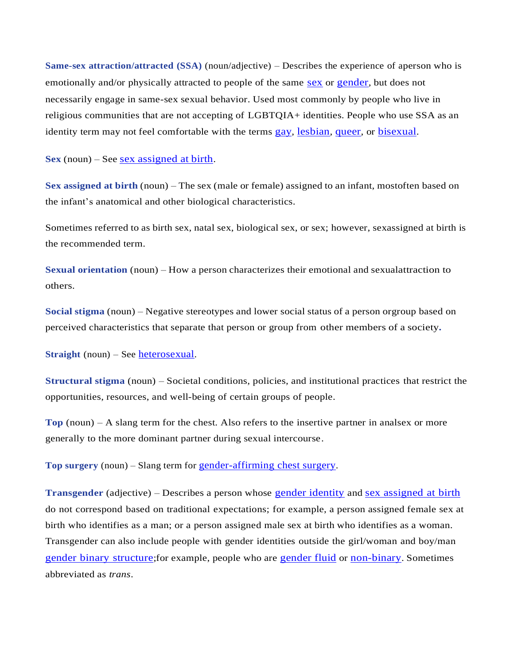**Same-sex attraction/attracted (SSA)** (noun/adjective) – Describes the experience of aperson who is emotionally and/or physically attracted to people of the same [sex](#page-8-2) or [gender](#page-2-0), but does not necessarily engage in same-sex sexual behavior. Used most commonly by people who live in religious communities that are not accepting of LGBTQIA+ identities. People who use SSA as an identity term may not feel comfortable with the terms [gay](#page-2-1), [lesbian](#page-6-0), [queer](#page-7-3), or [bisexual](#page-1-0).

<span id="page-8-1"></span>**Sex** (noun) – See sex [assigned](#page-8-2) at birth.

<span id="page-8-2"></span>**Sex assigned at birth** (noun) – The sex (male or female) assigned to an infant, mostoften based on the infant's anatomical and other biological characteristics.

Sometimes referred to as birth sex, natal sex, biological sex, or sex; however, sexassigned at birth is the recommended term.

<span id="page-8-0"></span>**Sexual orientation** (noun) – How a person characterizes their emotional and sexualattraction to others.

**Social stigma** (noun) – Negative stereotypes and lower social status of a person orgroup based on perceived characteristics that separate that person or group from other members of a society**.**

<span id="page-8-4"></span>**Straight** (noun) – See [heterosexual](#page-5-0).

**Structural stigma** (noun) – Societal conditions, policies, and institutional practices that restrict the opportunities, resources, and well-being of certain groups of people.

**Top** (noun) – A slang term for the chest. Also refers to the insertive partner in analsex or more generally to the more dominant partner during sexual intercourse.

**Top surgery** (noun) – Slang term for [gender-affirming](#page-3-1) chest surgery.

<span id="page-8-3"></span>**Transgender** (adjective) – Describes a person whose [gender identity](#page-5-2) and sex [assigned](#page-8-2) at birth do not correspond based on traditional expectations; for example, a person assigned female sex at birth who identifies as a man; or a person assigned male sex at birth who identifies as a woman. Transgender can also include people with gender identities outside the girl/woman and boy/man gender binary [structure](#page-4-0);for example, people who are [gender fluid](#page-4-1) or [non-binary](#page-7-2). Sometimes abbreviated as *trans*.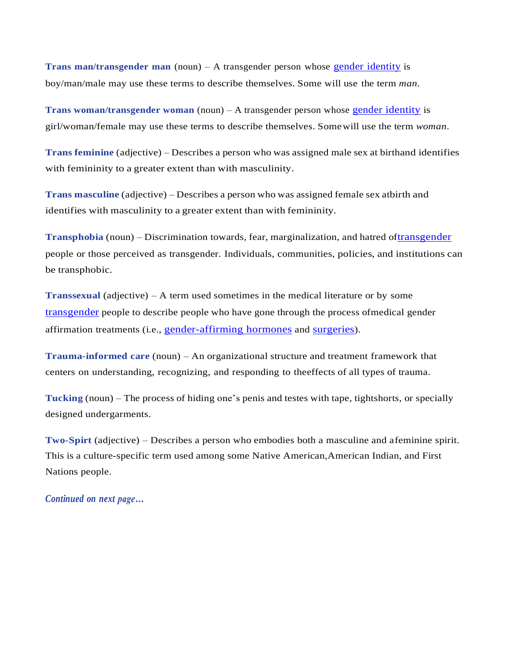<span id="page-9-2"></span><span id="page-9-1"></span>**Trans man/transgender man** (noun) – A transgender person whose gender [identity](#page-5-2) is boy/man/male may use these terms to describe themselves. Some will use the term *man*.

**Trans woman/transgender woman** (noun) – A transgender person whose gender [identity](#page-5-2) is girl/woman/female may use these terms to describe themselves. Somewill use the term *woman*.

**Trans feminine** (adjective) – Describes a person who was assigned male sex at birthand identifies with femininity to a greater extent than with masculinity.

**Trans masculine** (adjective) – Describes a person who was assigned female sex atbirth and identifies with masculinity to a greater extent than with femininity.

**Transphobia** (noun) – Discrimination towards, fear, marginalization, and hatred of[transgender](#page-8-3) people or those perceived as transgender. Individuals, communities, policies, and institutions can be transphobic.

**Transsexual** (adjective) – A term used sometimes in the medical literature or by some [transgender](#page-8-3) people to describe people who have gone through the process ofmedical gender affirmation treatments (i.e., [gender-affirming](#page-2-3) hormones and [surgeries](#page-2-4)).

**Trauma-informed care** (noun) – An organizational structure and treatment framework that centers on understanding, recognizing, and responding to theeffects of all types of trauma.

**Tucking** (noun) – The process of hiding one's penis and testes with tape, tightshorts, or specially designed undergarments.

<span id="page-9-0"></span>**Two-Spirt** (adjective) – Describes a person who embodies both a masculine and afeminine spirit. This is a culture-specific term used among some Native American,American Indian, and First Nations people.

*Continued on next page…*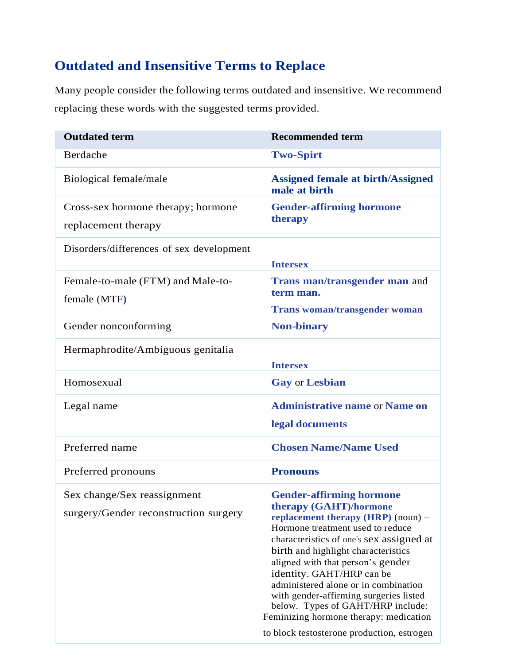## **Outdated and Insensitive Terms to Replace**

Many people consider the following terms outdated and insensitive. We recommend replacing these words with the suggested terms provided.

| <b>Outdated term</b>                                                 | <b>Recommended term</b>                                                                                                                                                                                                                                                                                                                                                                                                                                                                                   |
|----------------------------------------------------------------------|-----------------------------------------------------------------------------------------------------------------------------------------------------------------------------------------------------------------------------------------------------------------------------------------------------------------------------------------------------------------------------------------------------------------------------------------------------------------------------------------------------------|
| Berdache                                                             | <b>Two-Spirt</b>                                                                                                                                                                                                                                                                                                                                                                                                                                                                                          |
| Biological female/male                                               | <b>Assigned female at birth/Assigned</b><br>male at birth                                                                                                                                                                                                                                                                                                                                                                                                                                                 |
| Cross-sex hormone therapy; hormone<br>replacement therapy            | <b>Gender-affirming hormone</b><br>therapy                                                                                                                                                                                                                                                                                                                                                                                                                                                                |
| Disorders/differences of sex development                             | <b>Intersex</b>                                                                                                                                                                                                                                                                                                                                                                                                                                                                                           |
| Female-to-male (FTM) and Male-to-<br>female (MTF)                    | Trans man/transgender man and<br>term man.<br><b>Trans woman/transgender woman</b>                                                                                                                                                                                                                                                                                                                                                                                                                        |
| Gender nonconforming                                                 | <b>Non-binary</b>                                                                                                                                                                                                                                                                                                                                                                                                                                                                                         |
| Hermaphrodite/Ambiguous genitalia                                    | <b>Intersex</b>                                                                                                                                                                                                                                                                                                                                                                                                                                                                                           |
| Homosexual                                                           | <b>Gay or Lesbian</b>                                                                                                                                                                                                                                                                                                                                                                                                                                                                                     |
| Legal name                                                           | <b>Administrative name or Name on</b><br>legal documents                                                                                                                                                                                                                                                                                                                                                                                                                                                  |
| Preferred name                                                       | <b>Chosen Name/Name Used</b>                                                                                                                                                                                                                                                                                                                                                                                                                                                                              |
| Preferred pronouns                                                   | <b>Pronouns</b>                                                                                                                                                                                                                                                                                                                                                                                                                                                                                           |
| Sex change/Sex reassignment<br>surgery/Gender reconstruction surgery | <b>Gender-affirming hormone</b><br>therapy (GAHT)/hormone<br>replacement therapy $(HRP)$ (noun) –<br>Hormone treatment used to reduce<br>characteristics of one's sex assigned at<br>birth and highlight characteristics<br>aligned with that person's gender<br>identity. GAHT/HRP can be<br>administered alone or in combination<br>with gender-affirming surgeries listed<br>below. Types of GAHT/HRP include:<br>Feminizing hormone therapy: medication<br>to block testosterone production, estrogen |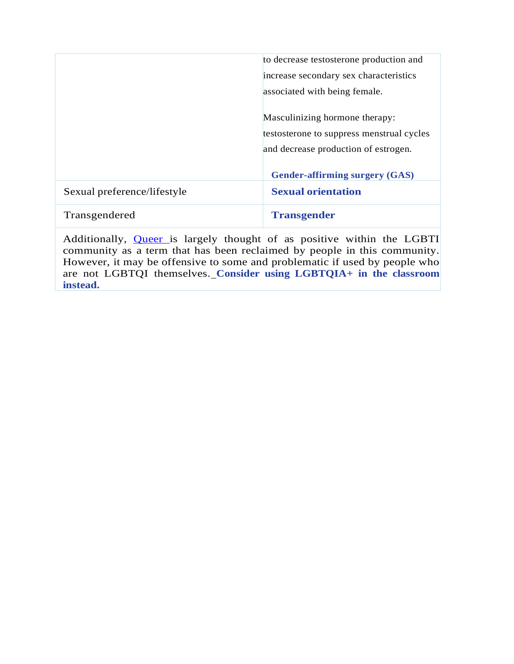|                             | to decrease testosterone production and   |
|-----------------------------|-------------------------------------------|
|                             | increase secondary sex characteristics    |
|                             | associated with being female.             |
|                             |                                           |
|                             | Masculinizing hormone therapy:            |
|                             | testosterone to suppress menstrual cycles |
|                             | and decrease production of estrogen.      |
|                             |                                           |
|                             | <b>Gender-affirming surgery (GAS)</b>     |
| Sexual preference/lifestyle | <b>Sexual orientation</b>                 |
| Transgendered               | <b>Transgender</b>                        |
|                             |                                           |

Additionally, **[Queer](#page-7-3)** is largely thought of as positive within the LGBTI community as a term that has been reclaimed by people in this community. However, it may be offensive to some and problematic if used by people who are not LGBTQI themselves. **Consider using LGBTQIA+ in the classroom instead.**